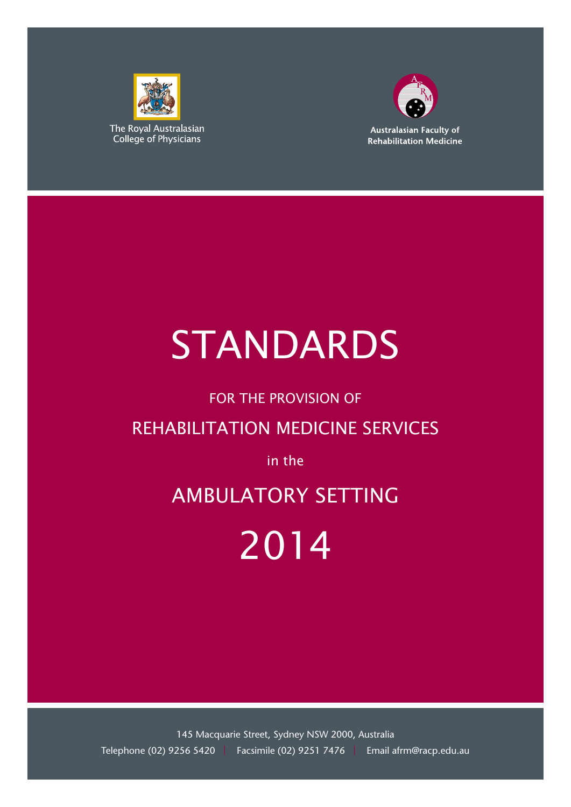



# STANDARDS

# FOR THE PROVISION OF

# REHABILITATION MEDICINE SERVICES

# in the

# AMBULATORY SETTING

# 2014

145 Macquarie Street, Sydney NSW 2000, Australia Telephone (02) 9256 5420 | Facsimile (02) 9251 7476 | Email afrm@racp.edu.au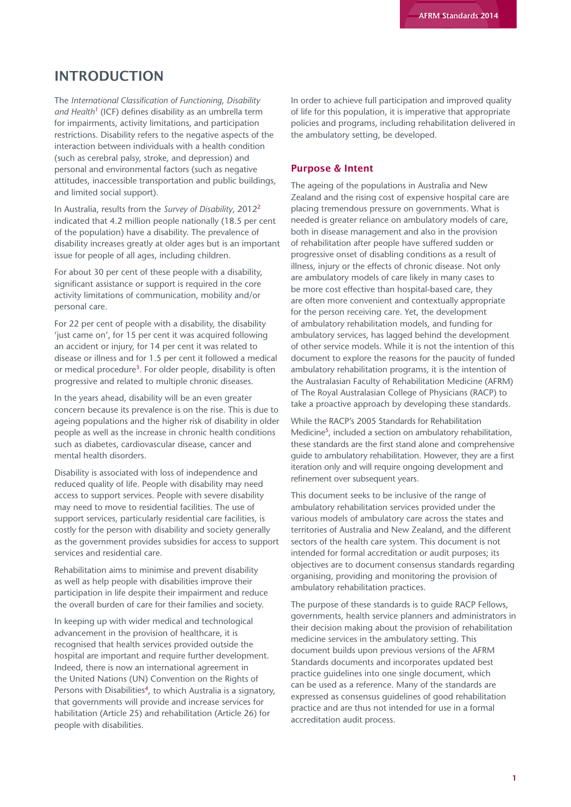## INTRODUCTION

The *International Classification of Functioning, Disability and Health1* (ICF) defines disability as an umbrella term for impairments, activity limitations, and participation restrictions. Disability refers to the negative aspects of the interaction between individuals with a health condition (such as cerebral palsy, stroke, and depression) and personal and environmental factors (such as negative attitudes, inaccessible transportation and public buildings, and limited social support).

In Australia, results from the *Survey of Disability*, 20122 indicated that 4.2 million people nationally (18.5 per cent of the population) have a disability. The prevalence of disability increases greatly at older ages but is an important issue for people of all ages, including children.

For about 30 per cent of these people with a disability, significant assistance or support is required in the core activity limitations of communication, mobility and/or personal care.

For 22 per cent of people with a disability, the disability 'just came on', for 15 per cent it was acquired following an accident or injury, for 14 per cent it was related to disease or illness and for 1.5 per cent it followed a medical or medical procedure<sup>3</sup>. For older people, disability is often progressive and related to multiple chronic diseases.

In the years ahead, disability will be an even greater concern because its prevalence is on the rise. This is due to ageing populations and the higher risk of disability in older people as well as the increase in chronic health conditions such as diabetes, cardiovascular disease, cancer and mental health disorders.

Disability is associated with loss of independence and reduced quality of life. People with disability may need access to support services. People with severe disability may need to move to residential facilities. The use of support services, particularly residential care facilities, is costly for the person with disability and society generally as the government provides subsidies for access to support services and residential care.

Rehabilitation aims to minimise and prevent disability as well as help people with disabilities improve their participation in life despite their impairment and reduce the overall burden of care for their families and society.

In keeping up with wider medical and technological advancement in the provision of healthcare, it is recognised that health services provided outside the hospital are important and require further development. Indeed, there is now an international agreement in the United Nations (UN) Convention on the Rights of Persons with Disabilities<sup>4</sup>, to which Australia is a signatory, that governments will provide and increase services for habilitation (Article 25) and rehabilitation (Article 26) for people with disabilities.

In order to achieve full participation and improved quality of life for this population, it is imperative that appropriate policies and programs, including rehabilitation delivered in the ambulatory setting, be developed.

#### Purpose & Intent

The ageing of the populations in Australia and New Zealand and the rising cost of expensive hospital care are placing tremendous pressure on governments. What is needed is greater reliance on ambulatory models of care, both in disease management and also in the provision of rehabilitation after people have suffered sudden or progressive onset of disabling conditions as a result of illness, injury or the effects of chronic disease. Not only are ambulatory models of care likely in many cases to be more cost effective than hospital-based care, they are often more convenient and contextually appropriate for the person receiving care. Yet, the development of ambulatory rehabilitation models, and funding for ambulatory services, has lagged behind the development of other service models. While it is not the intention of this document to explore the reasons for the paucity of funded ambulatory rehabilitation programs, it is the intention of the Australasian Faculty of Rehabilitation Medicine (AFRM) of The Royal Australasian College of Physicians (RACP) to take a proactive approach by developing these standards.

While the RACP's 2005 Standards for Rehabilitation Medicine<sup>5</sup>, included a section on ambulatory rehabilitation, these standards are the first stand alone and comprehensive guide to ambulatory rehabilitation. However, they are a first iteration only and will require ongoing development and refinement over subsequent years.

This document seeks to be inclusive of the range of ambulatory rehabilitation services provided under the various models of ambulatory care across the states and territories of Australia and New Zealand, and the different sectors of the health care system. This document is not intended for formal accreditation or audit purposes; its objectives are to document consensus standards regarding organising, providing and monitoring the provision of ambulatory rehabilitation practices.

The purpose of these standards is to guide RACP Fellows, governments, health service planners and administrators in their decision making about the provision of rehabilitation medicine services in the ambulatory setting. This document builds upon previous versions of the AFRM Standards documents and incorporates updated best practice guidelines into one single document, which can be used as a reference. Many of the standards are expressed as consensus guidelines of good rehabilitation practice and are thus not intended for use in a formal accreditation audit process.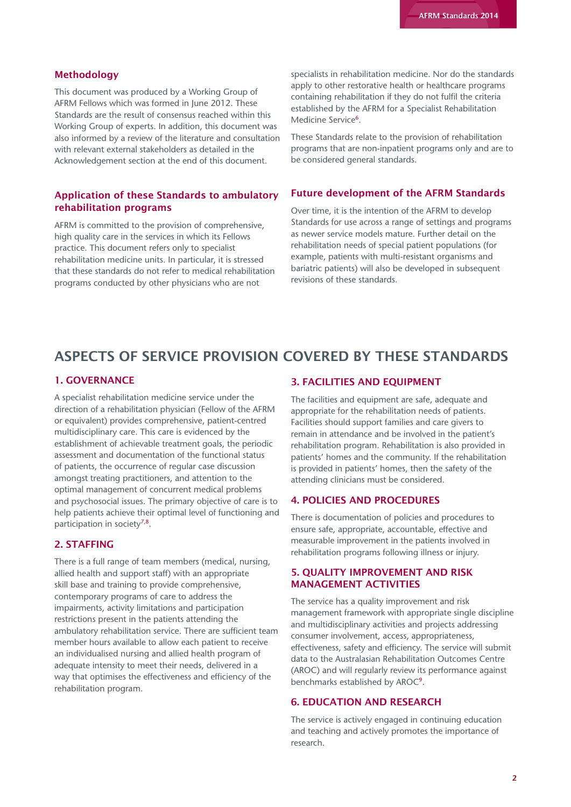#### Methodology

This document was produced by a Working Group of AFRM Fellows which was formed in June 2012. These Standards are the result of consensus reached within this Working Group of experts. In addition, this document was also informed by a review of the literature and consultation with relevant external stakeholders as detailed in the Acknowledgement section at the end of this document.

#### Application of these Standards to ambulatory rehabilitation programs

AFRM is committed to the provision of comprehensive, high quality care in the services in which its Fellows practice. This document refers only to specialist rehabilitation medicine units. In particular, it is stressed that these standards do not refer to medical rehabilitation programs conducted by other physicians who are not

specialists in rehabilitation medicine. Nor do the standards apply to other restorative health or healthcare programs containing rehabilitation if they do not fulfil the criteria established by the AFRM for a Specialist Rehabilitation Medicine Service<sup>6</sup>.

These Standards relate to the provision of rehabilitation programs that are non-inpatient programs only and are to be considered general standards.

#### Future development of the AFRM Standards

Over time, it is the intention of the AFRM to develop Standards for use across a range of settings and programs as newer service models mature. Further detail on the rehabilitation needs of special patient populations (for example, patients with multi-resistant organisms and bariatric patients) will also be developed in subsequent revisions of these standards.

# ASPECTS OF SERVICE PROVISION COVERED BY THESE STANDARDS

#### 1. GOVERNANCE

A specialist rehabilitation medicine service under the direction of a rehabilitation physician (Fellow of the AFRM or equivalent) provides comprehensive, patient-centred multidisciplinary care. This care is evidenced by the establishment of achievable treatment goals, the periodic assessment and documentation of the functional status of patients, the occurrence of regular case discussion amongst treating practitioners, and attention to the optimal management of concurrent medical problems and psychosocial issues. The primary objective of care is to help patients achieve their optimal level of functioning and participation in society<sup>7,8</sup>.

#### 2. STAFFING

There is a full range of team members (medical, nursing, allied health and support staff) with an appropriate skill base and training to provide comprehensive, contemporary programs of care to address the impairments, activity limitations and participation restrictions present in the patients attending the ambulatory rehabilitation service. There are sufficient team member hours available to allow each patient to receive an individualised nursing and allied health program of adequate intensity to meet their needs, delivered in a way that optimises the effectiveness and efficiency of the rehabilitation program.

#### 3. FACILITIES AND EQUIPMENT

The facilities and equipment are safe, adequate and appropriate for the rehabilitation needs of patients. Facilities should support families and care givers to remain in attendance and be involved in the patient's rehabilitation program. Rehabilitation is also provided in patients' homes and the community. If the rehabilitation is provided in patients' homes, then the safety of the attending clinicians must be considered.

#### 4. POLICIES AND PROCEDURES

There is documentation of policies and procedures to ensure safe, appropriate, accountable, effective and measurable improvement in the patients involved in rehabilitation programs following illness or injury.

#### 5. QUALITY IMPROVEMENT AND RISK MANAGEMENT ACTIVITIES

The service has a quality improvement and risk management framework with appropriate single discipline and multidisciplinary activities and projects addressing consumer involvement, access, appropriateness, effectiveness, safety and efficiency. The service will submit data to the Australasian Rehabilitation Outcomes Centre (AROC) and will regularly review its performance against benchmarks established by AROC9.

#### 6. EDUCATION AND RESEARCH

The service is actively engaged in continuing education and teaching and actively promotes the importance of research.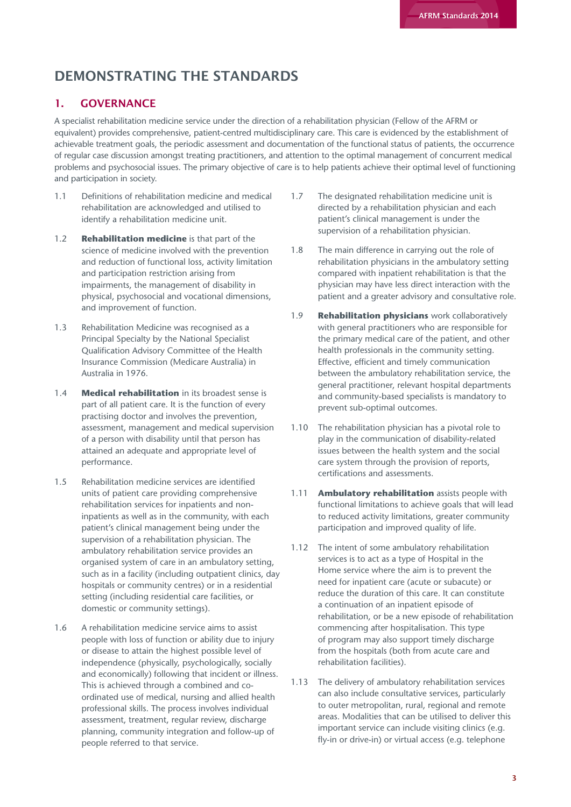# DEMONSTRATING THE STANDARDS

## 1. GOVERNANCE

A specialist rehabilitation medicine service under the direction of a rehabilitation physician (Fellow of the AFRM or equivalent) provides comprehensive, patient-centred multidisciplinary care. This care is evidenced by the establishment of achievable treatment goals, the periodic assessment and documentation of the functional status of patients, the occurrence of regular case discussion amongst treating practitioners, and attention to the optimal management of concurrent medical problems and psychosocial issues. The primary objective of care is to help patients achieve their optimal level of functioning and participation in society.

- 1.1 Definitions of rehabilitation medicine and medical rehabilitation are acknowledged and utilised to identify a rehabilitation medicine unit.
- 1.2 **Rehabilitation medicine** is that part of the science of medicine involved with the prevention and reduction of functional loss, activity limitation and participation restriction arising from impairments, the management of disability in physical, psychosocial and vocational dimensions, and improvement of function.
- 1.3 Rehabilitation Medicine was recognised as a Principal Specialty by the National Specialist Qualification Advisory Committee of the Health Insurance Commission (Medicare Australia) in Australia in 1976.
- 1.4 **Medical rehabilitation** in its broadest sense is part of all patient care. It is the function of every practising doctor and involves the prevention, assessment, management and medical supervision of a person with disability until that person has attained an adequate and appropriate level of performance.
- 1.5 Rehabilitation medicine services are identified units of patient care providing comprehensive rehabilitation services for inpatients and noninpatients as well as in the community, with each patient's clinical management being under the supervision of a rehabilitation physician. The ambulatory rehabilitation service provides an organised system of care in an ambulatory setting, such as in a facility (including outpatient clinics, day hospitals or community centres) or in a residential setting (including residential care facilities, or domestic or community settings).
- 1.6 A rehabilitation medicine service aims to assist people with loss of function or ability due to injury or disease to attain the highest possible level of independence (physically, psychologically, socially and economically) following that incident or illness. This is achieved through a combined and coordinated use of medical, nursing and allied health professional skills. The process involves individual assessment, treatment, regular review, discharge planning, community integration and follow-up of people referred to that service.
- 1.7 The designated rehabilitation medicine unit is directed by a rehabilitation physician and each patient's clinical management is under the supervision of a rehabilitation physician.
- 1.8 The main difference in carrying out the role of rehabilitation physicians in the ambulatory setting compared with inpatient rehabilitation is that the physician may have less direct interaction with the patient and a greater advisory and consultative role.
- 1.9 **Rehabilitation physicians** work collaboratively with general practitioners who are responsible for the primary medical care of the patient, and other health professionals in the community setting. Effective, efficient and timely communication between the ambulatory rehabilitation service, the general practitioner, relevant hospital departments and community-based specialists is mandatory to prevent sub-optimal outcomes.
- 1.10 The rehabilitation physician has a pivotal role to play in the communication of disability-related issues between the health system and the social care system through the provision of reports, certifications and assessments.
- 1.11 **Ambulatory rehabilitation** assists people with functional limitations to achieve goals that will lead to reduced activity limitations, greater community participation and improved quality of life.
- 1.12 The intent of some ambulatory rehabilitation services is to act as a type of Hospital in the Home service where the aim is to prevent the need for inpatient care (acute or subacute) or reduce the duration of this care. It can constitute a continuation of an inpatient episode of rehabilitation, or be a new episode of rehabilitation commencing after hospitalisation. This type of program may also support timely discharge from the hospitals (both from acute care and rehabilitation facilities).
- 1.13 The delivery of ambulatory rehabilitation services can also include consultative services, particularly to outer metropolitan, rural, regional and remote areas. Modalities that can be utilised to deliver this important service can include visiting clinics (e.g. fly-in or drive-in) or virtual access (e.g. telephone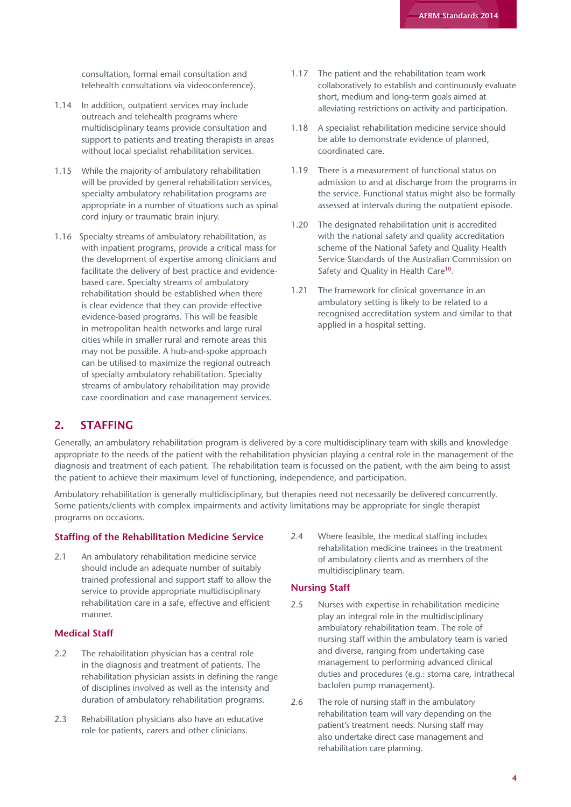consultation, formal email consultation and telehealth consultations via videoconference).

- 1.14 In addition, outpatient services may include outreach and telehealth programs where multidisciplinary teams provide consultation and support to patients and treating therapists in areas without local specialist rehabilitation services.
- 1.15 While the majority of ambulatory rehabilitation will be provided by general rehabilitation services, specialty ambulatory rehabilitation programs are appropriate in a number of situations such as spinal cord injury or traumatic brain injury.
- 1.16 Specialty streams of ambulatory rehabilitation, as with inpatient programs, provide a critical mass for the development of expertise among clinicians and facilitate the delivery of best practice and evidencebased care. Specialty streams of ambulatory rehabilitation should be established when there is clear evidence that they can provide effective evidence-based programs. This will be feasible in metropolitan health networks and large rural cities while in smaller rural and remote areas this may not be possible. A hub-and-spoke approach can be utilised to maximize the regional outreach of specialty ambulatory rehabilitation. Specialty streams of ambulatory rehabilitation may provide case coordination and case management services.
- 1.17 The patient and the rehabilitation team work collaboratively to establish and continuously evaluate short, medium and long-term goals aimed at alleviating restrictions on activity and participation.
- 1.18 A specialist rehabilitation medicine service should be able to demonstrate evidence of planned, coordinated care.
- 1.19 There is a measurement of functional status on admission to and at discharge from the programs in the service. Functional status might also be formally assessed at intervals during the outpatient episode.
- 1.20 The designated rehabilitation unit is accredited with the national safety and quality accreditation scheme of the National Safety and Quality Health Service Standards of the Australian Commission on Safety and Quality in Health Care<sup>10</sup>.
- 1.21 The framework for clinical governance in an ambulatory setting is likely to be related to a recognised accreditation system and similar to that applied in a hospital setting.

## 2. STAFFING

Generally, an ambulatory rehabilitation program is delivered by a core multidisciplinary team with skills and knowledge appropriate to the needs of the patient with the rehabilitation physician playing a central role in the management of the diagnosis and treatment of each patient. The rehabilitation team is focussed on the patient, with the aim being to assist the patient to achieve their maximum level of functioning, independence, and participation.

Ambulatory rehabilitation is generally multidisciplinary, but therapies need not necessarily be delivered concurrently. Some patients/clients with complex impairments and activity limitations may be appropriate for single therapist programs on occasions.

#### **Staffing of the Rehabilitation Medicine Service**

2.1 An ambulatory rehabilitation medicine service should include an adequate number of suitably trained professional and support staff to allow the service to provide appropriate multidisciplinary rehabilitation care in a safe, effective and efficient manner.

#### **Medical Staff**

- 2.2 The rehabilitation physician has a central role in the diagnosis and treatment of patients. The rehabilitation physician assists in defining the range of disciplines involved as well as the intensity and duration of ambulatory rehabilitation programs.
- 2.3 Rehabilitation physicians also have an educative role for patients, carers and other clinicians.

2.4 Where feasible, the medical staffing includes rehabilitation medicine trainees in the treatment of ambulatory clients and as members of the multidisciplinary team.

#### **Nursing Staff**

- 2.5 Nurses with expertise in rehabilitation medicine play an integral role in the multidisciplinary ambulatory rehabilitation team. The role of nursing staff within the ambulatory team is varied and diverse, ranging from undertaking case management to performing advanced clinical duties and procedures (e.g.: stoma care, intrathecal baclofen pump management).
- 2.6 The role of nursing staff in the ambulatory rehabilitation team will vary depending on the patient's treatment needs. Nursing staff may also undertake direct case management and rehabilitation care planning.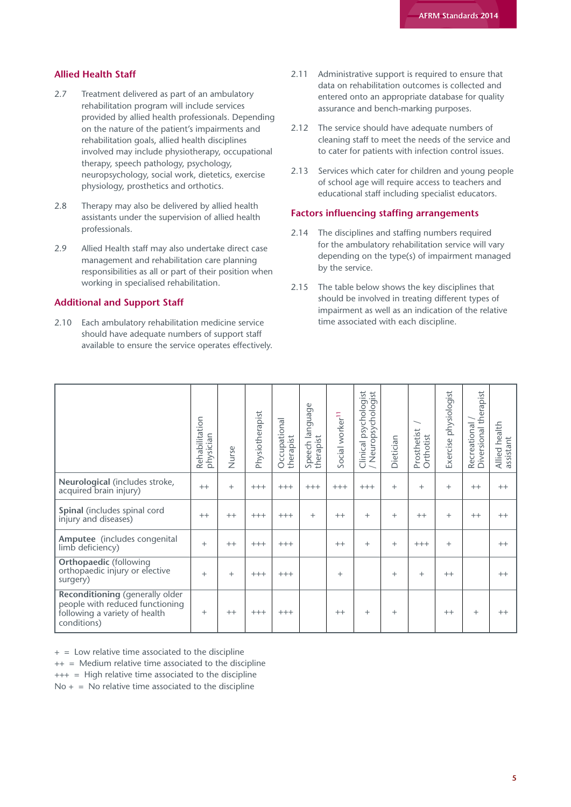#### **Allied Health Staff**

- 2.7 Treatment delivered as part of an ambulatory rehabilitation program will include services provided by allied health professionals. Depending on the nature of the patient's impairments and rehabilitation goals, allied health disciplines involved may include physiotherapy, occupational therapy, speech pathology, psychology, neuropsychology, social work, dietetics, exercise physiology, prosthetics and orthotics.
- 2.8 Therapy may also be delivered by allied health assistants under the supervision of allied health professionals.
- 2.9 Allied Health staff may also undertake direct case management and rehabilitation care planning responsibilities as all or part of their position when working in specialised rehabilitation.

#### **Additional and Support Staff**

2.10 Each ambulatory rehabilitation medicine service should have adequate numbers of support staff available to ensure the service operates effectively.

- 2.11 Administrative support is required to ensure that data on rehabilitation outcomes is collected and entered onto an appropriate database for quality assurance and bench-marking purposes.
- 2.12 The service should have adequate numbers of cleaning staff to meet the needs of the service and to cater for patients with infection control issues.
- 2.13 Services which cater for children and young people of school age will require access to teachers and educational staff including specialist educators.

#### **Factors influencing staffing arrangements**

- 2.14 The disciplines and staffing numbers required for the ambulatory rehabilitation service will vary depending on the type(s) of impairment managed by the service.
- 2.15 The table below shows the key disciplines that should be involved in treating different types of impairment as well as an indication of the relative time associated with each discipline.

|                                                                                                                           | Rehabilitation<br>physician | Nurse   | Physiotherapist | Occupational<br>therapist | Ф<br>language<br>Speech la<br>therapist | Social worker <sup>11</sup> | sychologist<br>Neuropsychologist<br>$\alpha$<br>Clinical | Dietician | Prosthetist<br>Orthotist | physiologist<br>Exercise | therapist<br>Recreational<br>Diversional | Allied health<br>assistant |
|---------------------------------------------------------------------------------------------------------------------------|-----------------------------|---------|-----------------|---------------------------|-----------------------------------------|-----------------------------|----------------------------------------------------------|-----------|--------------------------|--------------------------|------------------------------------------|----------------------------|
| Neurological (includes stroke,<br>acquired brain injury)                                                                  | $++$                        | $+$     | $+++$           | $+++$                     | $+++$                                   | $+++$                       | $+++$                                                    | $+$       | $^{+}$                   | $^{+}$                   | $++$                                     | $++$                       |
| Spinal (includes spinal cord<br>injury and diseases)                                                                      | $++$                        | $++$    | $+++$           | $+++$                     | $^{+}$                                  | $++$                        | $^{+}$                                                   | $^{+}$    | $++$                     | $^{+}$                   | $++$                                     | $++$                       |
| Amputee (includes congenital<br>limb deficiency)                                                                          | $^{+}$                      | $^{++}$ | $+++$           | $+++$                     |                                         | $++$                        | $^{+}$                                                   | $^{+}$    | $+++$                    | $^{+}$                   |                                          | $++$                       |
| <b>Orthopaedic (following</b><br>orthopaedic injury or elective<br>surgery)                                               | $+$                         | $+$     | $+++$           | $+++$                     |                                         | $^{+}$                      |                                                          | $^{+}$    | $^{+}$                   | $++$                     |                                          | $++$                       |
| <b>Reconditioning</b> (generally older<br>people with reduced functioning<br>following a variety of health<br>conditions) | $^{+}$                      | $^{++}$ | $+++$           | $+++$                     |                                         | $++$                        | $+$                                                      | $^{+}$    |                          | $++$                     | $^{+}$                                   | $++$                       |

 $+$  = Low relative time associated to the discipline

 $++$  = Medium relative time associated to the discipline

+++ = High relative time associated to the discipline

 $No + = No$  relative time associated to the discipline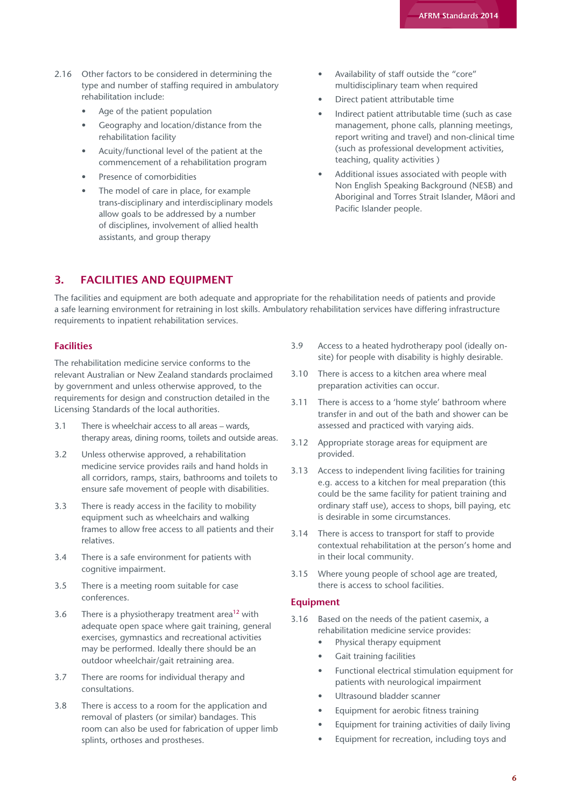- 2.16 Other factors to be considered in determining the type and number of staffing required in ambulatory rehabilitation include:
	- Age of the patient population
	- Geography and location/distance from the rehabilitation facility
	- Acuity/functional level of the patient at the commencement of a rehabilitation program
	- Presence of comorbidities
	- The model of care in place, for example trans-disciplinary and interdisciplinary models allow goals to be addressed by a number of disciplines, involvement of allied health assistants, and group therapy
- Availability of staff outside the "core" multidisciplinary team when required
- Direct patient attributable time
- Indirect patient attributable time (such as case management, phone calls, planning meetings, report writing and travel) and non-clinical time (such as professional development activities, teaching, quality activities )
- Additional issues associated with people with Non English Speaking Background (NESB) and Aboriginal and Torres Strait Islander, Māori and Pacific Islander people.

#### 3. FACILITIES AND EQUIPMENT

The facilities and equipment are both adequate and appropriate for the rehabilitation needs of patients and provide a safe learning environment for retraining in lost skills. Ambulatory rehabilitation services have differing infrastructure requirements to inpatient rehabilitation services.

#### **Facilities**

The rehabilitation medicine service conforms to the relevant Australian or New Zealand standards proclaimed by government and unless otherwise approved, to the requirements for design and construction detailed in the Licensing Standards of the local authorities.

- 3.1 There is wheelchair access to all areas wards, therapy areas, dining rooms, toilets and outside areas.
- 3.2 Unless otherwise approved, a rehabilitation medicine service provides rails and hand holds in all corridors, ramps, stairs, bathrooms and toilets to ensure safe movement of people with disabilities.
- 3.3 There is ready access in the facility to mobility equipment such as wheelchairs and walking frames to allow free access to all patients and their relatives.
- 3.4 There is a safe environment for patients with cognitive impairment.
- 3.5 There is a meeting room suitable for case conferences.
- 3.6 There is a physiotherapy treatment area<sup>12</sup> with adequate open space where gait training, general exercises, gymnastics and recreational activities may be performed. Ideally there should be an outdoor wheelchair/gait retraining area.
- 3.7 There are rooms for individual therapy and consultations.
- 3.8 There is access to a room for the application and removal of plasters (or similar) bandages. This room can also be used for fabrication of upper limb splints, orthoses and prostheses.
- 3.9 Access to a heated hydrotherapy pool (ideally onsite) for people with disability is highly desirable.
- 3.10 There is access to a kitchen area where meal preparation activities can occur.
- 3.11 There is access to a 'home style' bathroom where transfer in and out of the bath and shower can be assessed and practiced with varying aids.
- 3.12 Appropriate storage areas for equipment are provided.
- 3.13 Access to independent living facilities for training e.g. access to a kitchen for meal preparation (this could be the same facility for patient training and ordinary staff use), access to shops, bill paying, etc is desirable in some circumstances.
- 3.14 There is access to transport for staff to provide contextual rehabilitation at the person's home and in their local community.
- 3.15 Where young people of school age are treated, there is access to school facilities.

#### **Equipment**

- 3.16 Based on the needs of the patient casemix, a rehabilitation medicine service provides:
	- Physical therapy equipment
	- Gait training facilities
	- Functional electrical stimulation equipment for patients with neurological impairment
	- Ultrasound bladder scanner
	- Equipment for aerobic fitness training
	- Equipment for training activities of daily living
	- Equipment for recreation, including toys and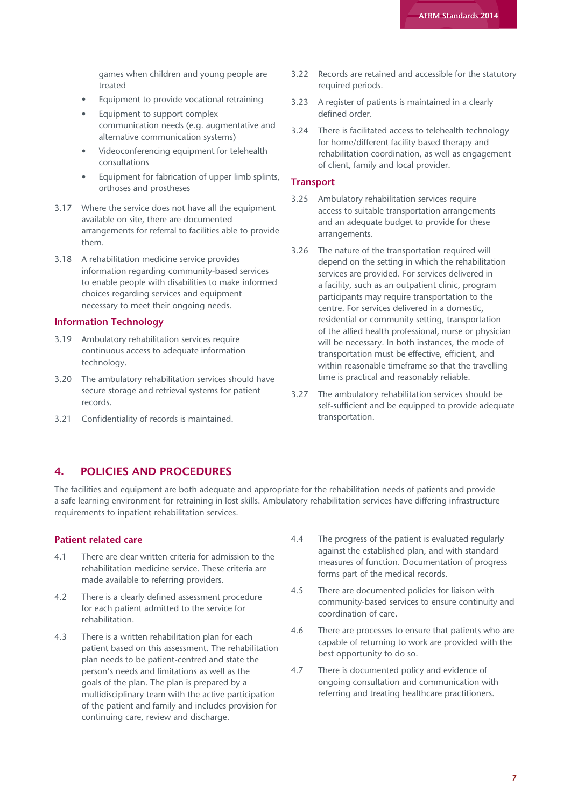games when children and young people are treated

- Equipment to provide vocational retraining
- Equipment to support complex communication needs (e.g. augmentative and alternative communication systems)
- Videoconferencing equipment for telehealth consultations
- Equipment for fabrication of upper limb splints, orthoses and prostheses
- 3.17 Where the service does not have all the equipment available on site, there are documented arrangements for referral to facilities able to provide them.
- 3.18 A rehabilitation medicine service provides information regarding community-based services to enable people with disabilities to make informed choices regarding services and equipment necessary to meet their ongoing needs.

#### **Information Technology**

- 3.19 Ambulatory rehabilitation services require continuous access to adequate information technology.
- 3.20 The ambulatory rehabilitation services should have secure storage and retrieval systems for patient records.
- 3.21 Confidentiality of records is maintained.
- 3.22 Records are retained and accessible for the statutory required periods.
- 3.23 A register of patients is maintained in a clearly defined order.
- 3.24 There is facilitated access to telehealth technology for home/different facility based therapy and rehabilitation coordination, as well as engagement of client, family and local provider.

#### **Transport**

- 3.25 Ambulatory rehabilitation services require access to suitable transportation arrangements and an adequate budget to provide for these arrangements.
- 3.26 The nature of the transportation required will depend on the setting in which the rehabilitation services are provided. For services delivered in a facility, such as an outpatient clinic, program participants may require transportation to the centre. For services delivered in a domestic, residential or community setting, transportation of the allied health professional, nurse or physician will be necessary. In both instances, the mode of transportation must be effective, efficient, and within reasonable timeframe so that the travelling time is practical and reasonably reliable.
- 3.27 The ambulatory rehabilitation services should be self-sufficient and be equipped to provide adequate transportation.

#### 4. POLICIES AND PROCEDURES

The facilities and equipment are both adequate and appropriate for the rehabilitation needs of patients and provide a safe learning environment for retraining in lost skills. Ambulatory rehabilitation services have differing infrastructure requirements to inpatient rehabilitation services.

#### **Patient related care**

- 4.1 There are clear written criteria for admission to the rehabilitation medicine service. These criteria are made available to referring providers.
- 4.2 There is a clearly defined assessment procedure for each patient admitted to the service for rehabilitation.
- 4.3 There is a written rehabilitation plan for each patient based on this assessment. The rehabilitation plan needs to be patient-centred and state the person's needs and limitations as well as the goals of the plan. The plan is prepared by a multidisciplinary team with the active participation of the patient and family and includes provision for continuing care, review and discharge.
- 4.4 The progress of the patient is evaluated regularly against the established plan, and with standard measures of function. Documentation of progress forms part of the medical records.
- 4.5 There are documented policies for liaison with community-based services to ensure continuity and coordination of care.
- 4.6 There are processes to ensure that patients who are capable of returning to work are provided with the best opportunity to do so.
- 4.7 There is documented policy and evidence of ongoing consultation and communication with referring and treating healthcare practitioners.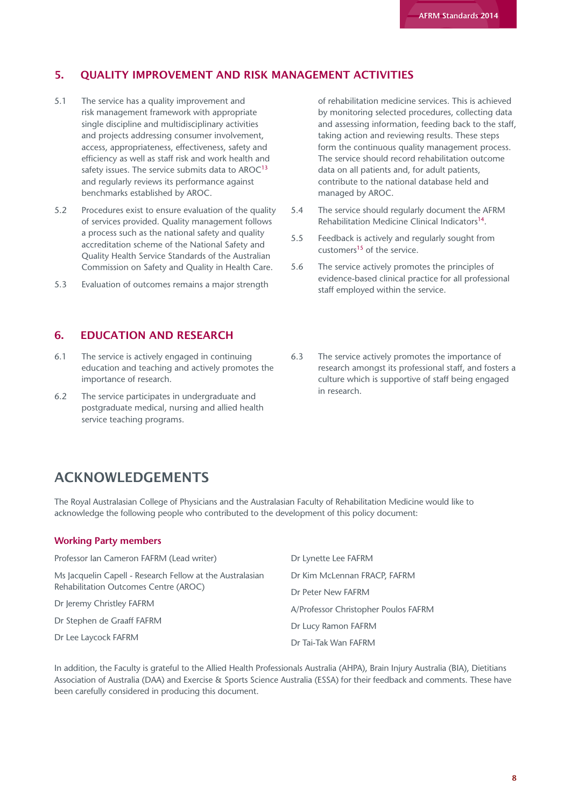#### 5. QUALITY IMPROVEMENT AND RISK MANAGEMENT ACTIVITIES

- 5.1 The service has a quality improvement and risk management framework with appropriate single discipline and multidisciplinary activities and projects addressing consumer involvement, access, appropriateness, effectiveness, safety and efficiency as well as staff risk and work health and safety issues. The service submits data to  $AROC<sup>13</sup>$ and regularly reviews its performance against benchmarks established by AROC.
- 5.2 Procedures exist to ensure evaluation of the quality of services provided. Quality management follows a process such as the national safety and quality accreditation scheme of the National Safety and Quality Health Service Standards of the Australian Commission on Safety and Quality in Health Care.
- 5.3 Evaluation of outcomes remains a major strength

## 6. EDUCATION AND RESEARCH

- 6.1 The service is actively engaged in continuing education and teaching and actively promotes the importance of research.
- 6.2 The service participates in undergraduate and postgraduate medical, nursing and allied health service teaching programs.

of rehabilitation medicine services. This is achieved by monitoring selected procedures, collecting data and assessing information, feeding back to the staff, taking action and reviewing results. These steps form the continuous quality management process. The service should record rehabilitation outcome data on all patients and, for adult patients, contribute to the national database held and managed by AROC.

- 5.4 The service should regularly document the AFRM Rehabilitation Medicine Clinical Indicators<sup>14</sup>.
- 5.5 Feedback is actively and regularly sought from customers<sup>15</sup> of the service.
- 5.6 The service actively promotes the principles of evidence-based clinical practice for all professional staff employed within the service.
- 6.3 The service actively promotes the importance of research amongst its professional staff, and fosters a culture which is supportive of staff being engaged in research.

# ACKNOWLEDGEMENTS

The Royal Australasian College of Physicians and the Australasian Faculty of Rehabilitation Medicine would like to acknowledge the following people who contributed to the development of this policy document:

#### **Working Party members**

| Professor Ian Cameron FAFRM (Lead writer)                 | Dr Lynette Lee FAFRM                        |  |  |  |  |  |
|-----------------------------------------------------------|---------------------------------------------|--|--|--|--|--|
| Ms Jacquelin Capell - Research Fellow at the Australasian | Dr Kim McLennan FRACP, FAFRM                |  |  |  |  |  |
| Rehabilitation Outcomes Centre (AROC)                     | Dr Peter New FAFRM                          |  |  |  |  |  |
| Dr Jeremy Christley FAFRM                                 | A/Professor Christopher Poulos FAFRM        |  |  |  |  |  |
| Dr Stephen de Graaff FAFRM                                | Dr Lucy Ramon FAFRM<br>Dr Tai-Tak Wan FAFRM |  |  |  |  |  |
| Dr Lee Laycock FAFRM                                      |                                             |  |  |  |  |  |

In addition, the Faculty is grateful to the Allied Health Professionals Australia (AHPA), Brain Injury Australia (BIA), Dietitians Association of Australia (DAA) and Exercise & Sports Science Australia (ESSA) for their feedback and comments. These have been carefully considered in producing this document.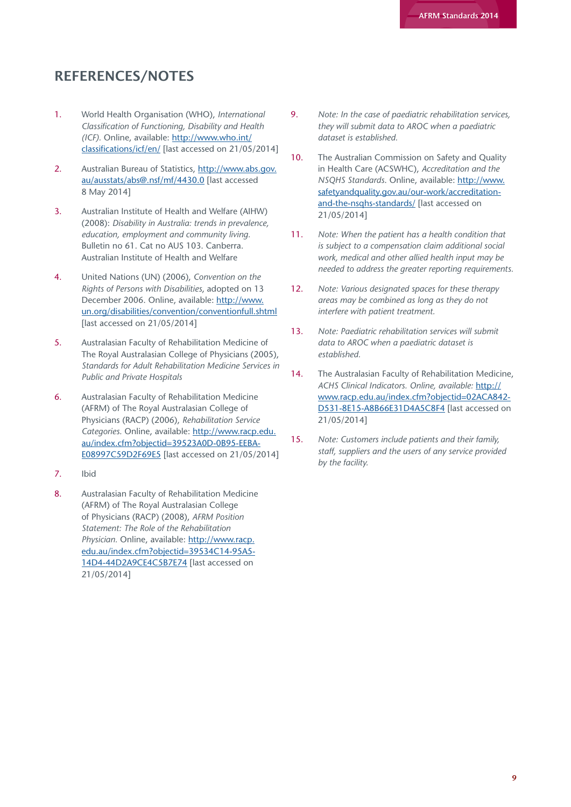# REFERENCES/NOTES

- 1. World Health Organisation (WHO), *International Classification of Functioning, Disability and Health (ICF).* Online, available: [http://www.who.int/](http://www.who.int/classifications/icf/en/) [classifications/icf/en/](http://www.who.int/classifications/icf/en/) [last accessed on 21/05/2014]
- 2. Australian Bureau of Statistics, [http://www.abs.gov.](http://www.abs.gov.au/ausstats/abs@.nsf/mf/4430.0) [au/ausstats/abs@.nsf/mf/4430.0](http://www.abs.gov.au/ausstats/abs@.nsf/mf/4430.0) [last accessed 8 May 2014]
- 3. Australian Institute of Health and Welfare (AIHW) (2008): *Disability in Australia: trends in prevalence, education, employment and community living.* Bulletin no 61. Cat no AUS 103. Canberra. Australian Institute of Health and Welfare
- 4. United Nations (UN) (2006), *Convention on the Rights of Persons with Disabilities*, adopted on 13 December 2006. Online, available: [http://www.](http://www.un.org/disabilities/convention/conventionfull.shtml) [un.org/disabilities/convention/conventionfull.shtml](http://www.un.org/disabilities/convention/conventionfull.shtml) [last accessed on 21/05/2014]
- 5. Australasian Faculty of Rehabilitation Medicine of The Royal Australasian College of Physicians (2005), *Standards for Adult Rehabilitation Medicine Services in Public and Private Hospitals*
- 6. Australasian Faculty of Rehabilitation Medicine (AFRM) of The Royal Australasian College of Physicians (RACP) (2006), *Rehabilitation Service Categories.* Online, available: [http://www.racp.edu.](http://www.racp.edu.au/index.cfm?objectid=39523A0D-0B95-EEBA-E08997C59D2F69E5) [au/index.cfm?objectid=39523A0D-0B95-EEBA-](http://www.racp.edu.au/index.cfm?objectid=39523A0D-0B95-EEBA-E08997C59D2F69E5)[E08997C59D2F69E5](http://www.racp.edu.au/index.cfm?objectid=39523A0D-0B95-EEBA-E08997C59D2F69E5) [last accessed on 21/05/2014]
- 7. Ibid
- 8. Australasian Faculty of Rehabilitation Medicine (AFRM) of The Royal Australasian College of Physicians (RACP) (2008), *AFRM Position Statement: The Role of the Rehabilitation Physician.* Online, available: [http://www.racp.](http://www.racp.edu.au/index.cfm?objectid=39534C14-95A5-14D4-44D2A9CE4C5B7E74) [edu.au/index.cfm?objectid=39534C14-95A5-](http://www.racp.edu.au/index.cfm?objectid=39534C14-95A5-14D4-44D2A9CE4C5B7E74) [14D4-44D2A9CE4C5B7E74](http://www.racp.edu.au/index.cfm?objectid=39534C14-95A5-14D4-44D2A9CE4C5B7E74) [last accessed on 21/05/2014]
- 9. *Note: In the case of paediatric rehabilitation services, they will submit data to AROC when a paediatric dataset is established.*
- 10. The Australian Commission on Safety and Quality in Health Care (ACSWHC), *Accreditation and the NSQHS Standards*. Online, available: [http://www.](http://www.safetyandquality.gov.au/our-work/accreditation-and-the-nsqhs-standards/) [safetyandquality.gov.au/our-work/accreditation](http://www.safetyandquality.gov.au/our-work/accreditation-and-the-nsqhs-standards/)[and-the-nsqhs-standards/](http://www.safetyandquality.gov.au/our-work/accreditation-and-the-nsqhs-standards/) [last accessed on 21/05/2014]
- 11. *Note: When the patient has a health condition that is subject to a compensation claim additional social work, medical and other allied health input may be needed to address the greater reporting requirements.*
- 12. *Note: Various designated spaces for these therapy areas may be combined as long as they do not interfere with patient treatment.*
- 13. *Note: Paediatric rehabilitation services will submit data to AROC when a paediatric dataset is established.*
- 14. The Australasian Faculty of Rehabilitation Medicine, *ACHS Clinical Indicators. Online, available:* [http://](http://www.racp.edu.au/index.cfm?objectid=02ACA842-D531-8E15-A8B66E31D4A5C8F4) [www.racp.edu.au/index.cfm?objectid=02ACA842-](http://www.racp.edu.au/index.cfm?objectid=02ACA842-D531-8E15-A8B66E31D4A5C8F4) [D531-8E15-A8B66E31D4A5C8F4](http://www.racp.edu.au/index.cfm?objectid=02ACA842-D531-8E15-A8B66E31D4A5C8F4) [last accessed on 21/05/2014]
- 15. *Note: Customers include patients and their family, staff, suppliers and the users of any service provided by the facility.*